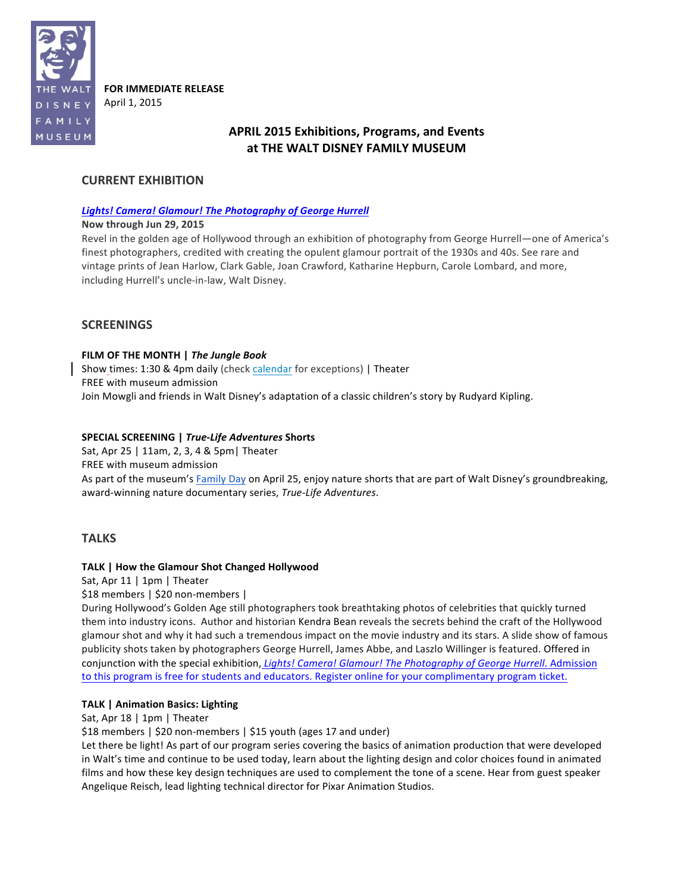

**FOR IMMEDIATE RELEASE** April 1, 2015

# **APRIL 2015 Exhibitions, Programs, and Events** at THE WALT DISNEY FAMILY MUSEUM

## **CURRENT EXHIBITION**

### **Lights! Camera! Glamour! The Photography of George Hurrell**

### **Now through Jun 29, 2015**

Revel in the golden age of Hollywood through an exhibition of photography from George Hurrell—one of America's finest photographers, credited with creating the opulent glamour portrait of the 1930s and 40s. See rare and vintage prints of Jean Harlow, Clark Gable, Joan Crawford, Katharine Hepburn, Carole Lombard, and more, including Hurrell's uncle-in-law, Walt Disney.

### **SCREENINGS**

### FILM OF THE MONTH | The Jungle Book

Show times: 1:30 & 4pm daily (check calendar for exceptions) | Theater FREE with museum admission Join Mowgli and friends in Walt Disney's adaptation of a classic children's story by Rudyard Kipling.

### **SPECIAL SCREENING | True-Life Adventures Shorts**

Sat, Apr 25 | 11am, 2, 3, 4 & 5pm | Theater FREE with museum admission As part of the museum's Family Day on April 25, enjoy nature shorts that are part of Walt Disney's groundbreaking, award-winning nature documentary series, *True-Life Adventures*.

### **TALKS**

### **TALK | How the Glamour Shot Changed Hollywood**

Sat, Apr 11 | 1pm | Theater

\$18 members | \$20 non-members |

During Hollywood's Golden Age still photographers took breathtaking photos of celebrities that quickly turned them into industry icons. Author and historian Kendra Bean reveals the secrets behind the craft of the Hollywood glamour shot and why it had such a tremendous impact on the movie industry and its stars. A slide show of famous publicity shots taken by photographers George Hurrell, James Abbe, and Laszlo Willinger is featured. Offered in conjunction with the special exhibition, *Lights! Camera! Glamour! The Photography of George Hurrell.* Admission to this program is free for students and educators. Register online for your complimentary program ticket.

### **TALK | Animation Basics: Lighting**

Sat, Apr 18 | 1pm | Theater

\$18 members | \$20 non-members | \$15 youth (ages 17 and under)

Let there be light! As part of our program series covering the basics of animation production that were developed in Walt's time and continue to be used today, learn about the lighting design and color choices found in animated films and how these key design techniques are used to complement the tone of a scene. Hear from guest speaker Angelique Reisch, lead lighting technical director for Pixar Animation Studios.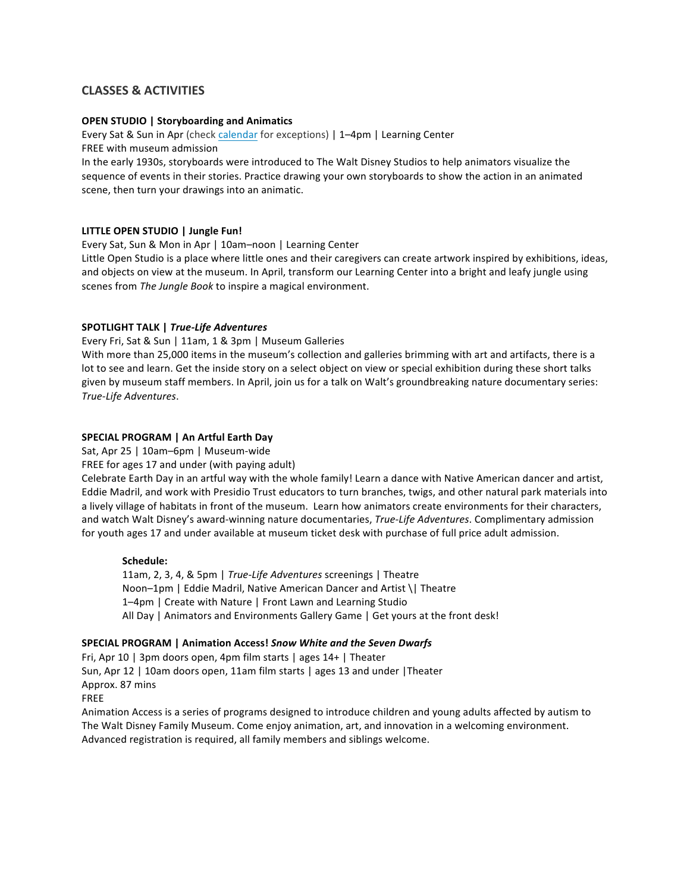## **CLASSES & ACTIVITIES**

### **OPEN STUDIO | Storyboarding and Animatics**

Every Sat & Sun in Apr (check calendar for exceptions) | 1-4pm | Learning Center FREE with museum admission

In the early 1930s, storyboards were introduced to The Walt Disney Studios to help animators visualize the sequence of events in their stories. Practice drawing your own storyboards to show the action in an animated scene, then turn your drawings into an animatic.

### **LITTLE OPEN STUDIO | Jungle Fun!**

Every Sat, Sun & Mon in Apr | 10am-noon | Learning Center

Little Open Studio is a place where little ones and their caregivers can create artwork inspired by exhibitions, ideas, and objects on view at the museum. In April, transform our Learning Center into a bright and leafy jungle using scenes from *The Jungle Book* to inspire a magical environment.

### **SPOTLIGHT TALK |** *True-Life Adventures*

Every Fri, Sat & Sun | 11am, 1 & 3pm | Museum Galleries

With more than 25,000 items in the museum's collection and galleries brimming with art and artifacts, there is a lot to see and learn. Get the inside story on a select object on view or special exhibition during these short talks given by museum staff members. In April, join us for a talk on Walt's groundbreaking nature documentary series: *True-Life Adventures*.

### **SPECIAL PROGRAM | An Artful Earth Day**

Sat, Apr 25 | 10am–6pm | Museum-wide

FREE for ages 17 and under (with paying adult)

Celebrate Earth Day in an artful way with the whole family! Learn a dance with Native American dancer and artist, Eddie Madril, and work with Presidio Trust educators to turn branches, twigs, and other natural park materials into a lively village of habitats in front of the museum. Learn how animators create environments for their characters, and watch Walt Disney's award-winning nature documentaries, *True-Life Adventures*. Complimentary admission for youth ages 17 and under available at museum ticket desk with purchase of full price adult admission.

#### **Schedule:**

11am, 2, 3, 4, & 5pm | True-Life Adventures screenings | Theatre Noon-1pm | Eddie Madril, Native American Dancer and Artist \| Theatre 1–4pm | Create with Nature | Front Lawn and Learning Studio All Day | Animators and Environments Gallery Game | Get yours at the front desk!

### **SPECIAL PROGRAM | Animation Access! Snow White and the Seven Dwarfs**

Fri, Apr 10 | 3pm doors open, 4pm film starts | ages 14+ | Theater Sun, Apr 12 | 10am doors open, 11am film starts | ages 13 and under | Theater Approx. 87 mins

FREE

Animation Access is a series of programs designed to introduce children and young adults affected by autism to The Walt Disney Family Museum. Come enjoy animation, art, and innovation in a welcoming environment. Advanced registration is required, all family members and siblings welcome.